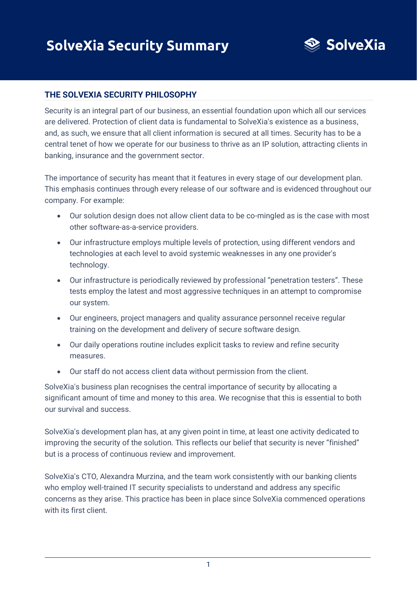

#### **THE SOLVEXIA SECURITY PHILOSOPHY**

Security is an integral part of our business, an essential foundation upon which all our services are delivered. Protection of client data is fundamental to SolveXia's existence as a business, and, as such, we ensure that all client information is secured at all times. Security has to be a central tenet of how we operate for our business to thrive as an IP solution, attracting clients in banking, insurance and the government sector.

The importance of security has meant that it features in every stage of our development plan. This emphasis continues through every release of our software and is evidenced throughout our company. For example:

- Our solution design does not allow client data to be co-mingled as is the case with most other software-as-a-service providers.
- Our infrastructure employs multiple levels of protection, using different vendors and technologies at each level to avoid systemic weaknesses in any one provider's technology.
- Our infrastructure is periodically reviewed by professional "penetration testers". These tests employ the latest and most aggressive techniques in an attempt to compromise our system.
- Our engineers, project managers and quality assurance personnel receive regular training on the development and delivery of secure software design.
- Our daily operations routine includes explicit tasks to review and refine security measures.
- Our staff do not access client data without permission from the client.

SolveXia's business plan recognises the central importance of security by allocating a significant amount of time and money to this area. We recognise that this is essential to both our survival and success.

SolveXia's development plan has, at any given point in time, at least one activity dedicated to improving the security of the solution. This reflects our belief that security is never "finished" but is a process of continuous review and improvement.

SolveXia's CTO, Alexandra Murzina, and the team work consistently with our banking clients who employ well-trained IT security specialists to understand and address any specific concerns as they arise. This practice has been in place since SolveXia commenced operations with its first client.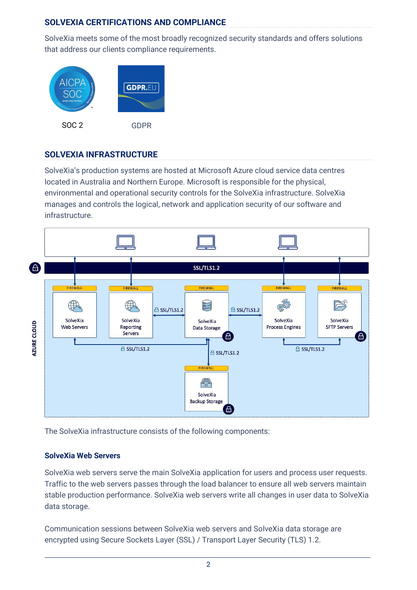# **SOLVEXIA CERTIFICATIONS AND COMPLIANCE**

SolveXia meets some of the most broadly recognized security standards and offers solutions that address our clients compliance requirements.



### **SOLVEXIA INFRASTRUCTURE**

SolveXia's production systems are hosted at Microsoft Azure cloud service data centres located in Australia and Northern Europe. Microsoft is responsible for the physical, environmental and operational security controls for the SolveXia infrastructure. SolveXia manages and controls the logical, network and application security of our software and infrastructure.



The SolveXia infrastructure consists of the following components:

#### **SolveXia Web Servers**

SolveXia web servers serve the main SolveXia application for users and process user requests. Traffic to the web servers passes through the load balancer to ensure all web servers maintain stable production performance. SolveXia web servers write all changes in user data to SolveXia data storage.

Communication sessions between SolveXia web servers and SolveXia data storage are encrypted using Secure Sockets Layer (SSL) / Transport Layer Security (TLS) 1.2.

 $\overline{2}$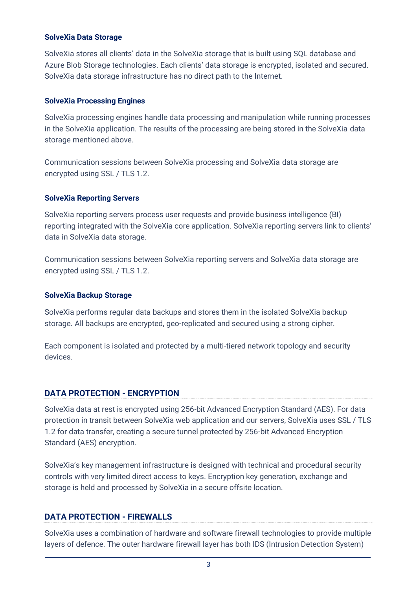#### **SolveXia Data Storage**

SolveXia stores all clients' data in the SolveXia storage that is built using SQL database and Azure Blob Storage technologies. Each clients' data storage is encrypted, isolated and secured. SolveXia data storage infrastructure has no direct path to the Internet.

#### **SolveXia Processing Engines**

SolveXia processing engines handle data processing and manipulation while running processes in the SolveXia application. The results of the processing are being stored in the SolveXia data storage mentioned above.

Communication sessions between SolveXia processing and SolveXia data storage are encrypted using SSL / TLS 1.2.

#### **SolveXia Reporting Servers**

SolveXia reporting servers process user requests and provide business intelligence (BI) reporting integrated with the SolveXia core application. SolveXia reporting servers link to clients' data in SolveXia data storage.

Communication sessions between SolveXia reporting servers and SolveXia data storage are encrypted using SSL / TLS 1.2.

#### **SolveXia Backup Storage**

SolveXia performs regular data backups and stores them in the isolated SolveXia backup storage. All backups are encrypted, geo-replicated and secured using a strong cipher.

Each component is isolated and protected by a multi-tiered network topology and security devices.

### **DATA PROTECTION - ENCRYPTION**

SolveXia data at rest is encrypted using 256-bit Advanced Encryption Standard (AES). For data protection in transit between SolveXia web application and our servers, SolveXia uses SSL / TLS 1.2 for data transfer, creating a secure tunnel protected by 256-bit Advanced Encryption Standard (AES) encryption.

SolveXia's key management infrastructure is designed with technical and procedural security controls with very limited direct access to keys. Encryption key generation, exchange and storage is held and processed by SolveXia in a secure offsite location.

#### **DATA PROTECTION - FIREWALLS**

SolveXia uses a combination of hardware and software firewall technologies to provide multiple layers of defence. The outer hardware firewall layer has both IDS (Intrusion Detection System)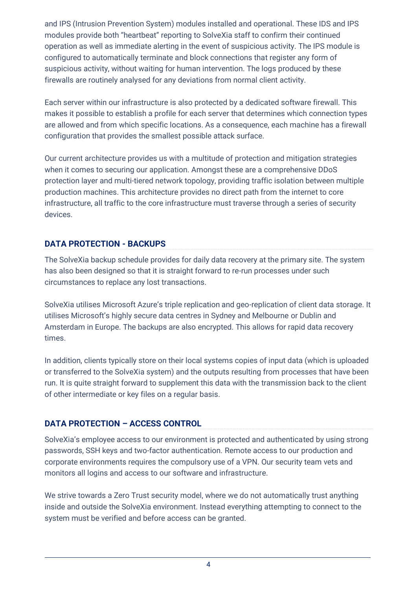and IPS (Intrusion Prevention System) modules installed and operational. These IDS and IPS modules provide both "heartbeat" reporting to SolveXia staff to confirm their continued operation as well as immediate alerting in the event of suspicious activity. The IPS module is configured to automatically terminate and block connections that register any form of suspicious activity, without waiting for human intervention. The logs produced by these firewalls are routinely analysed for any deviations from normal client activity.

Each server within our infrastructure is also protected by a dedicated software firewall. This makes it possible to establish a profile for each server that determines which connection types are allowed and from which specific locations. As a consequence, each machine has a firewall configuration that provides the smallest possible attack surface.

Our current architecture provides us with a multitude of protection and mitigation strategies when it comes to securing our application. Amongst these are a comprehensive DDoS protection layer and multi-tiered network topology, providing traffic isolation between multiple production machines. This architecture provides no direct path from the internet to core infrastructure, all traffic to the core infrastructure must traverse through a series of security devices.

## **DATA PROTECTION - BACKUPS**

The SolveXia backup schedule provides for daily data recovery at the primary site. The system has also been designed so that it is straight forward to re-run processes under such circumstances to replace any lost transactions.

SolveXia utilises Microsoft Azure's triple replication and geo-replication of client data storage. It utilises Microsoft's highly secure data centres in Sydney and Melbourne or Dublin and Amsterdam in Europe. The backups are also encrypted. This allows for rapid data recovery times.

In addition, clients typically store on their local systems copies of input data (which is uploaded or transferred to the SolveXia system) and the outputs resulting from processes that have been run. It is quite straight forward to supplement this data with the transmission back to the client of other intermediate or key files on a regular basis.

## **DATA PROTECTION – ACCESS CONTROL**

SolveXia's employee access to our environment is protected and authenticated by using strong passwords, SSH keys and two-factor authentication. Remote access to our production and corporate environments requires the compulsory use of a VPN. Our security team vets and monitors all logins and access to our software and infrastructure.

We strive towards a Zero Trust security model, where we do not automatically trust anything inside and outside the SolveXia environment. Instead everything attempting to connect to the system must be verified and before access can be granted.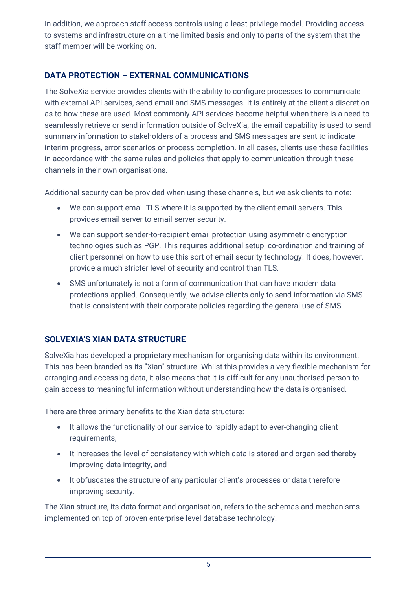In addition, we approach staff access controls using a least privilege model. Providing access to systems and infrastructure on a time limited basis and only to parts of the system that the staff member will be working on.

# **DATA PROTECTION – EXTERNAL COMMUNICATIONS**

The SolveXia service provides clients with the ability to configure processes to communicate with external API services, send email and SMS messages. It is entirely at the client's discretion as to how these are used. Most commonly API services become helpful when there is a need to seamlessly retrieve or send information outside of SolveXia, the email capability is used to send summary information to stakeholders of a process and SMS messages are sent to indicate interim progress, error scenarios or process completion. In all cases, clients use these facilities in accordance with the same rules and policies that apply to communication through these channels in their own organisations.

Additional security can be provided when using these channels, but we ask clients to note:

- We can support email TLS where it is supported by the client email servers. This provides email server to email server security.
- We can support sender-to-recipient email protection using asymmetric encryption technologies such as PGP. This requires additional setup, co-ordination and training of client personnel on how to use this sort of email security technology. It does, however, provide a much stricter level of security and control than TLS.
- SMS unfortunately is not a form of communication that can have modern data protections applied. Consequently, we advise clients only to send information via SMS that is consistent with their corporate policies regarding the general use of SMS.

# **SOLVEXIA'S XIAN DATA STRUCTURE**

SolveXia has developed a proprietary mechanism for organising data within its environment. This has been branded as its "Xian" structure. Whilst this provides a very flexible mechanism for arranging and accessing data, it also means that it is difficult for any unauthorised person to gain access to meaningful information without understanding how the data is organised.

There are three primary benefits to the Xian data structure:

- It allows the functionality of our service to rapidly adapt to ever-changing client requirements,
- It increases the level of consistency with which data is stored and organised thereby improving data integrity, and
- It obfuscates the structure of any particular client's processes or data therefore improving security.

The Xian structure, its data format and organisation, refers to the schemas and mechanisms implemented on top of proven enterprise level database technology.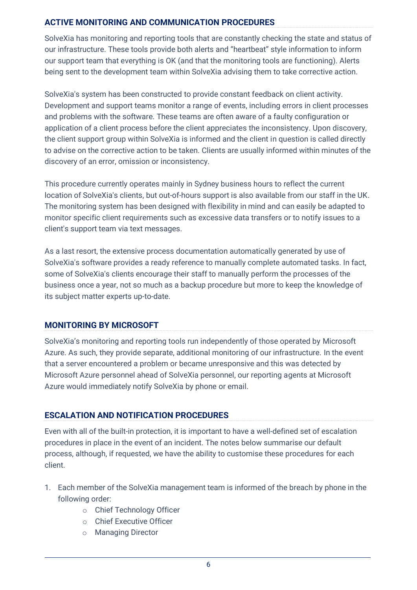## **ACTIVE MONITORING AND COMMUNICATION PROCEDURES**

SolveXia has monitoring and reporting tools that are constantly checking the state and status of our infrastructure. These tools provide both alerts and "heartbeat" style information to inform our support team that everything is OK (and that the monitoring tools are functioning). Alerts being sent to the development team within SolveXia advising them to take corrective action.

SolveXia's system has been constructed to provide constant feedback on client activity. Development and support teams monitor a range of events, including errors in client processes and problems with the software. These teams are often aware of a faulty configuration or application of a client process before the client appreciates the inconsistency. Upon discovery, the client support group within SolveXia is informed and the client in question is called directly to advise on the corrective action to be taken. Clients are usually informed within minutes of the discovery of an error, omission or inconsistency.

This procedure currently operates mainly in Sydney business hours to reflect the current location of SolveXia's clients, but out-of-hours support is also available from our staff in the UK. The monitoring system has been designed with flexibility in mind and can easily be adapted to monitor specific client requirements such as excessive data transfers or to notify issues to a client's support team via text messages.

As a last resort, the extensive process documentation automatically generated by use of SolveXia's software provides a ready reference to manually complete automated tasks. In fact, some of SolveXia's clients encourage their staff to manually perform the processes of the business once a year, not so much as a backup procedure but more to keep the knowledge of its subject matter experts up-to-date.

### **MONITORING BY MICROSOFT**

SolveXia's monitoring and reporting tools run independently of those operated by Microsoft Azure. As such, they provide separate, additional monitoring of our infrastructure. In the event that a server encountered a problem or became unresponsive and this was detected by Microsoft Azure personnel ahead of SolveXia personnel, our reporting agents at Microsoft Azure would immediately notify SolveXia by phone or email.

## **ESCALATION AND NOTIFICATION PROCEDURES**

Even with all of the built-in protection, it is important to have a well-defined set of escalation procedures in place in the event of an incident. The notes below summarise our default process, although, if requested, we have the ability to customise these procedures for each client.

- 1. Each member of the SolveXia management team is informed of the breach by phone in the following order:
	- o Chief Technology Officer
	- o Chief Executive Officer
	- o Managing Director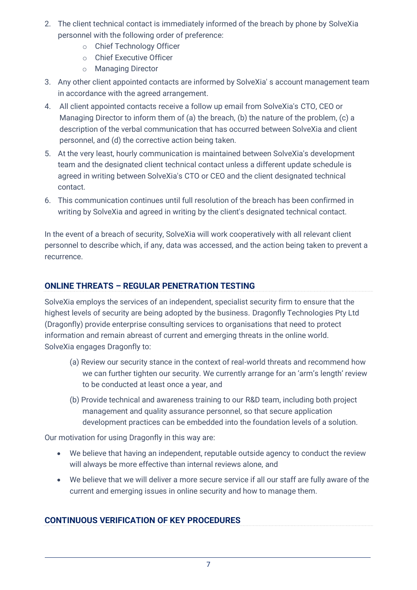- 2. The client technical contact is immediately informed of the breach by phone by SolveXia personnel with the following order of preference:
	- o Chief Technology Officer
	- o Chief Executive Officer
	- o Managing Director
- 3. Any other client appointed contacts are informed by SolveXia' s account management team in accordance with the agreed arrangement.
- 4. All client appointed contacts receive a follow up email from SolveXia's CTO, CEO or Managing Director to inform them of (a) the breach, (b) the nature of the problem, (c) a description of the verbal communication that has occurred between SolveXia and client personnel, and (d) the corrective action being taken.
- 5. At the very least, hourly communication is maintained between SolveXia's development team and the designated client technical contact unless a different update schedule is agreed in writing between SolveXia's CTO or CEO and the client designated technical contact.
- 6. This communication continues until full resolution of the breach has been confirmed in writing by SolveXia and agreed in writing by the client's designated technical contact.

In the event of a breach of security, SolveXia will work cooperatively with all relevant client personnel to describe which, if any, data was accessed, and the action being taken to prevent a recurrence.

## **ONLINE THREATS – REGULAR PENETRATION TESTING**

SolveXia employs the services of an independent, specialist security firm to ensure that the highest levels of security are being adopted by the business. Dragonfly Technologies Pty Ltd (Dragonfly) provide enterprise consulting services to organisations that need to protect information and remain abreast of current and emerging threats in the online world. SolveXia engages Dragonfly to:

- (a) Review our security stance in the context of real-world threats and recommend how we can further tighten our security. We currently arrange for an 'arm's length' review to be conducted at least once a year, and
- (b) Provide technical and awareness training to our R&D team, including both project management and quality assurance personnel, so that secure application development practices can be embedded into the foundation levels of a solution.

Our motivation for using Dragonfly in this way are:

- We believe that having an independent, reputable outside agency to conduct the review will always be more effective than internal reviews alone, and
- We believe that we will deliver a more secure service if all our staff are fully aware of the current and emerging issues in online security and how to manage them.

## **CONTINUOUS VERIFICATION OF KEY PROCEDURES**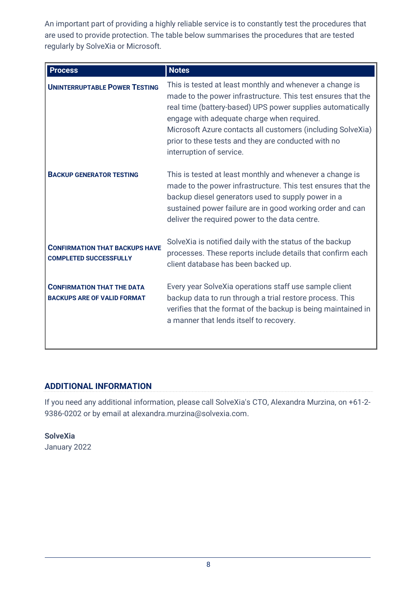An important part of providing a highly reliable service is to constantly test the procedures that are used to provide protection. The table below summarises the procedures that are tested regularly by SolveXia or Microsoft.

| <b>Process</b>                                                          | <b>Notes</b>                                                                                                                                                                                                                                                                                                                                                                           |  |
|-------------------------------------------------------------------------|----------------------------------------------------------------------------------------------------------------------------------------------------------------------------------------------------------------------------------------------------------------------------------------------------------------------------------------------------------------------------------------|--|
| <b>UNINTERRUPTABLE POWER TESTING</b>                                    | This is tested at least monthly and whenever a change is<br>made to the power infrastructure. This test ensures that the<br>real time (battery-based) UPS power supplies automatically<br>engage with adequate charge when required.<br>Microsoft Azure contacts all customers (including SolveXia)<br>prior to these tests and they are conducted with no<br>interruption of service. |  |
| <b>BACKUP GENERATOR TESTING</b>                                         | This is tested at least monthly and whenever a change is<br>made to the power infrastructure. This test ensures that the<br>backup diesel generators used to supply power in a<br>sustained power failure are in good working order and can<br>deliver the required power to the data centre.                                                                                          |  |
| <b>CONFIRMATION THAT BACKUPS HAVE</b><br><b>COMPLETED SUCCESSFULLY</b>  | SolveXia is notified daily with the status of the backup<br>processes. These reports include details that confirm each<br>client database has been backed up.                                                                                                                                                                                                                          |  |
| <b>CONFIRMATION THAT THE DATA</b><br><b>BACKUPS ARE OF VALID FORMAT</b> | Every year SolveXia operations staff use sample client<br>backup data to run through a trial restore process. This<br>verifies that the format of the backup is being maintained in<br>a manner that lends itself to recovery.                                                                                                                                                         |  |

## **ADDITIONAL INFORMATION**

If you need any additional information, please call SolveXia's CTO, Alexandra Murzina, on +61-2- 9386-0202 or by email at alexandra.murzina@solvexia.com.

**SolveXia** January 2022